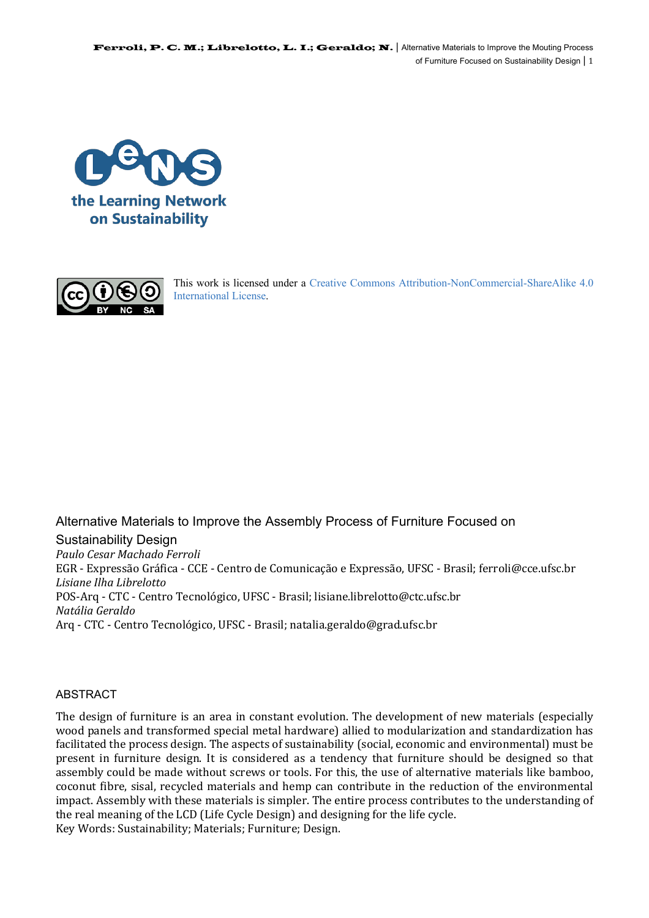



This work is licensed under a Creative Commons Attribution-NonCommercial-ShareAlike 4.0 International License.

Alternative Materials to Improve the Assembly Process of Furniture Focused on Sustainability Design *Paulo Cesar Machado Ferroli*  EGR - Expressão Gráfica - CCE - Centro de Comunicação e Expressão, UFSC - Brasil; ferroli@cce.ufsc.br *Lisiane Ilha Librelotto*  POS-Arq - CTC - Centro Tecnológico, UFSC - Brasil; lisiane.librelotto@ctc.ufsc.br *Natália Geraldo*  Arq - CTC - Centro Tecnológico, UFSC - Brasil; natalia.geraldo@grad.ufsc.br

### ABSTRACT

The design of furniture is an area in constant evolution. The development of new materials (especially wood panels and transformed special metal hardware) allied to modularization and standardization has facilitated the process design. The aspects of sustainability (social, economic and environmental) must be present in furniture design. It is considered as a tendency that furniture should be designed so that assembly could be made without screws or tools. For this, the use of alternative materials like bamboo, coconut fibre, sisal, recycled materials and hemp can contribute in the reduction of the environmental impact. Assembly with these materials is simpler. The entire process contributes to the understanding of the real meaning of the LCD (Life Cycle Design) and designing for the life cycle. Key Words: Sustainability; Materials; Furniture; Design.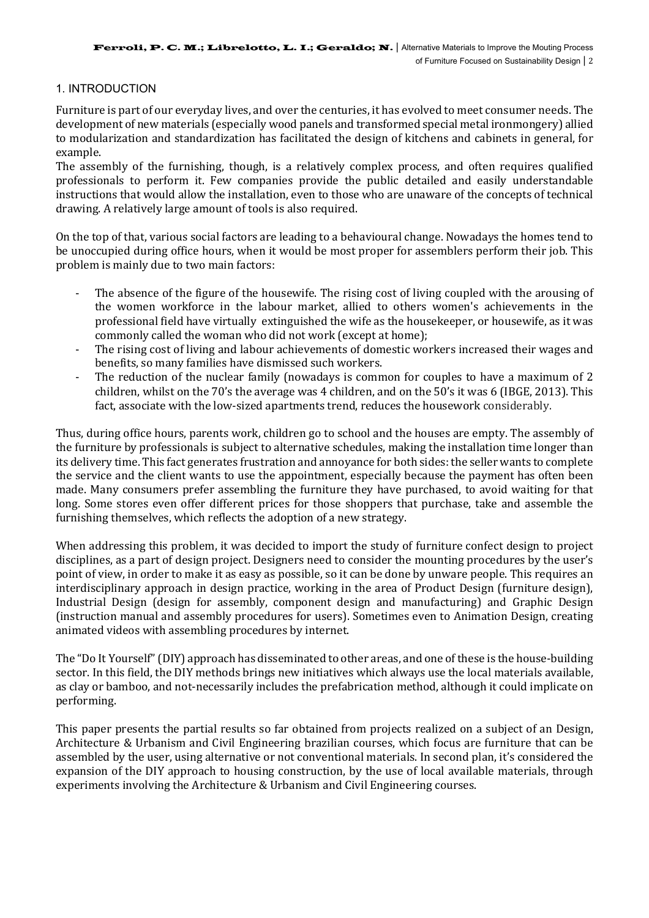## 1. INTRODUCTION

Furniture is part of our everyday lives, and over the centuries, it has evolved to meet consumer needs. The development of new materials (especially wood panels and transformed special metal ironmongery) allied to modularization and standardization has facilitated the design of kitchens and cabinets in general, for example.

The assembly of the furnishing, though, is a relatively complex process, and often requires qualified professionals to perform it. Few companies provide the public detailed and easily understandable instructions that would allow the installation, even to those who are unaware of the concepts of technical drawing. A relatively large amount of tools is also required.

On the top of that, various social factors are leading to a behavioural change. Nowadays the homes tend to be unoccupied during office hours, when it would be most proper for assemblers perform their job. This problem is mainly due to two main factors:

- The absence of the figure of the housewife. The rising cost of living coupled with the arousing of the women workforce in the labour market, allied to others women's achievements in the professional field have virtually extinguished the wife as the housekeeper, or housewife, as it was commonly called the woman who did not work (except at home);
- The rising cost of living and labour achievements of domestic workers increased their wages and benefits, so many families have dismissed such workers.
- The reduction of the nuclear family (nowadays is common for couples to have a maximum of 2 children, whilst on the  $70$ 's the average was 4 children, and on the  $50$ 's it was 6 (IBGE, 2013). This fact, associate with the low-sized apartments trend, reduces the housework considerably.

Thus, during office hours, parents work, children go to school and the houses are empty. The assembly of the furniture by professionals is subject to alternative schedules, making the installation time longer than its delivery time. This fact generates frustration and annoyance for both sides: the seller wants to complete the service and the client wants to use the appointment, especially because the payment has often been made. Many consumers prefer assembling the furniture they have purchased, to avoid waiting for that long. Some stores even offer different prices for those shoppers that purchase, take and assemble the furnishing themselves, which reflects the adoption of a new strategy.

When addressing this problem, it was decided to import the study of furniture confect design to project disciplines, as a part of design project. Designers need to consider the mounting procedures by the user's point of view, in order to make it as easy as possible, so it can be done by unware people. This requires an interdisciplinary approach in design practice, working in the area of Product Design (furniture design), Industrial Design (design for assembly, component design and manufacturing) and Graphic Design (instruction manual and assembly procedures for users). Sometimes even to Animation Design, creating animated videos with assembling procedures by internet.

The "Do It Yourself" (DIY) approach has disseminated to other areas, and one of these is the house-building sector. In this field, the DIY methods brings new initiatives which always use the local materials available, as clay or bamboo, and not-necessarily includes the prefabrication method, although it could implicate on performing.

This paper presents the partial results so far obtained from projects realized on a subject of an Design, Architecture & Urbanism and Civil Engineering brazilian courses, which focus are furniture that can be assembled by the user, using alternative or not conventional materials. In second plan, it's considered the expansion of the DIY approach to housing construction, by the use of local available materials, through experiments involving the Architecture & Urbanism and Civil Engineering courses.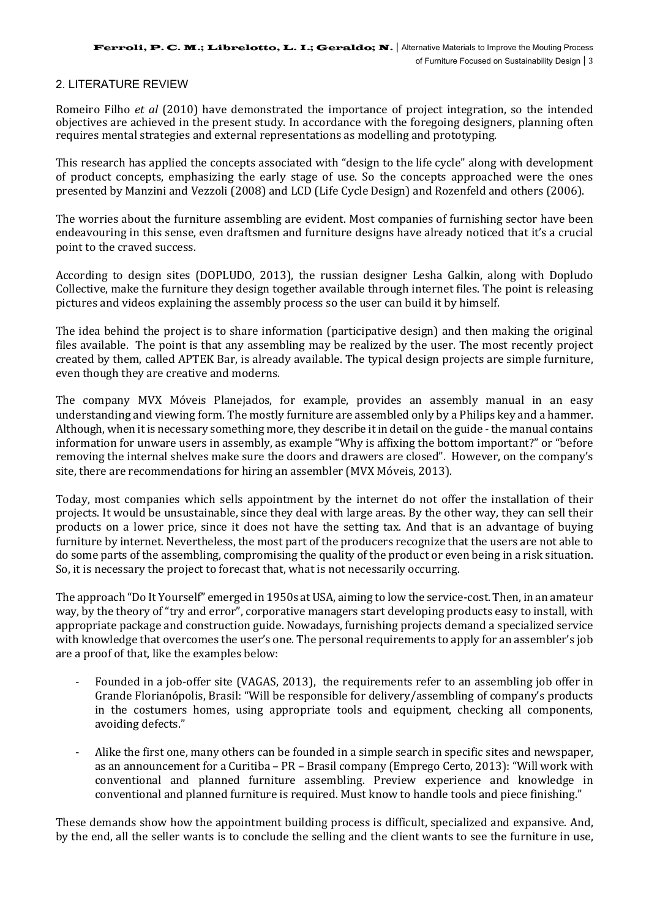## 2. LITERATURE REVIEW

Romeiro Filho *et al* (2010) have demonstrated the importance of project integration, so the intended objectives are achieved in the present study. In accordance with the foregoing designers, planning often requires mental strategies and external representations as modelling and prototyping.

This research has applied the concepts associated with "design to the life cycle" along with development of product concepts, emphasizing the early stage of use. So the concepts approached were the ones presented by Manzini and Vezzoli (2008) and LCD (Life Cycle Design) and Rozenfeld and others (2006).

The worries about the furniture assembling are evident. Most companies of furnishing sector have been endeavouring in this sense, even draftsmen and furniture designs have already noticed that it's a crucial point to the craved success.

According to design sites (DOPLUDO, 2013), the russian designer Lesha Galkin, along with Dopludo Collective, make the furniture they design together available through internet files. The point is releasing pictures and videos explaining the assembly process so the user can build it by himself.

The idea behind the project is to share information (participative design) and then making the original files available. The point is that any assembling may be realized by the user. The most recently project created by them, called APTEK Bar, is already available. The typical design projects are simple furniture, even though they are creative and moderns.

The company MVX Móveis Planejados, for example, provides an assembly manual in an easy understanding and viewing form. The mostly furniture are assembled only by a Philips key and a hammer. Although, when it is necessary something more, they describe it in detail on the guide - the manual contains information for unware users in assembly, as example "Why is affixing the bottom important?" or "before" removing the internal shelves make sure the doors and drawers are closed". However, on the company's site, there are recommendations for hiring an assembler (MVX Móveis, 2013).

Today, most companies which sells appointment by the internet do not offer the installation of their projects. It would be unsustainable, since they deal with large areas. By the other way, they can sell their products on a lower price, since it does not have the setting tax. And that is an advantage of buying furniture by internet. Nevertheless, the most part of the producers recognize that the users are not able to do some parts of the assembling, compromising the quality of the product or even being in a risk situation. So, it is necessary the project to forecast that, what is not necessarily occurring.

The approach "Do It Yourself" emerged in 1950s at USA, aiming to low the service-cost. Then, in an amateur way, by the theory of "try and error", corporative managers start developing products easy to install, with appropriate package and construction guide. Nowadays, furnishing projects demand a specialized service with knowledge that overcomes the user's one. The personal requirements to apply for an assembler's job are a proof of that, like the examples below:

- Founded in a job-offer site (VAGAS, 2013), the requirements refer to an assembling job offer in Grande Florianópolis, Brasil: "Will be responsible for delivery/assembling of company's products in the costumers homes, using appropriate tools and equipment, checking all components, avoiding defects."
- Alike the first one, many others can be founded in a simple search in specific sites and newspaper, as an announcement for a Curitiba – PR – Brasil company (Emprego Certo, 2013): "Will work with conventional and planned furniture assembling. Preview experience and knowledge in conventional and planned furniture is required. Must know to handle tools and piece finishing."

These demands show how the appointment building process is difficult, specialized and expansive. And, by the end, all the seller wants is to conclude the selling and the client wants to see the furniture in use,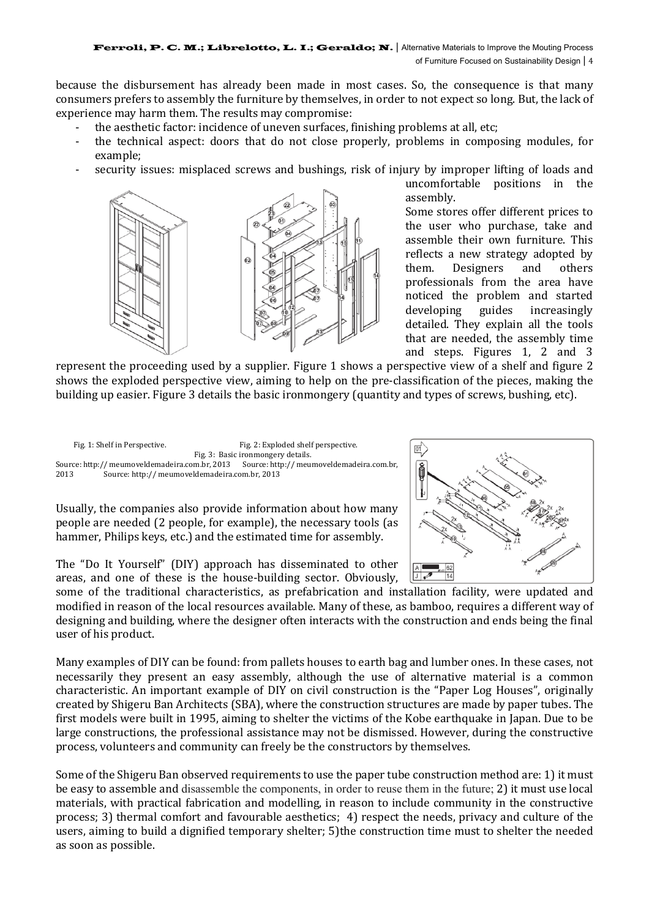because the disbursement has already been made in most cases. So, the consequence is that many consumers prefers to assembly the furniture by themselves, in order to not expect so long. But, the lack of experience may harm them. The results may compromise:

- the aesthetic factor: incidence of uneven surfaces, finishing problems at all, etc;
- the technical aspect: doors that do not close properly, problems in composing modules, for example;
- security issues: misplaced screws and bushings, risk of injury by improper lifting of loads and



uncomfortable positions in the assembly.

Some stores offer different prices to the user who purchase, take and assemble their own furniture. This reflects a new strategy adopted by them. Designers and others professionals from the area have noticed the problem and started developing guides increasingly detailed. They explain all the tools that are needed, the assembly time and steps. Figures 1, 2 and 3

represent the proceeding used by a supplier. Figure 1 shows a perspective view of a shelf and figure 2 shows the exploded perspective view, aiming to help on the pre-classification of the pieces, making the building up easier. Figure 3 details the basic ironmongery (quantity and types of screws, bushing, etc).



Usually, the companies also provide information about how many people are needed (2 people, for example), the necessary tools (as hammer, Philips keys, etc.) and the estimated time for assembly.

The "Do It Yourself" (DIY) approach has disseminated to other areas, and one of these is the house-building sector. Obviously,

some of the traditional characteristics, as prefabrication and installation facility, were updated and modified in reason of the local resources available. Many of these, as bamboo, requires a different way of designing and building, where the designer often interacts with the construction and ends being the final user of his product.

Many examples of DIY can be found: from pallets houses to earth bag and lumber ones. In these cases, not necessarily they present an easy assembly, although the use of alternative material is a common characteristic. An important example of DIY on civil construction is the "Paper Log Houses", originally created by Shigeru Ban Architects (SBA), where the construction structures are made by paper tubes. The first models were built in 1995, aiming to shelter the victims of the Kobe earthquake in Japan. Due to be large constructions, the professional assistance may not be dismissed. However, during the constructive process, volunteers and community can freely be the constructors by themselves.

Some of the Shigeru Ban observed requirements to use the paper tube construction method are: 1) it must be easy to assemble and disassemble the components, in order to reuse them in the future; 2) it must use local materials, with practical fabrication and modelling, in reason to include community in the constructive process; 3) thermal comfort and favourable aesthetics;  $\overline{4}$  respect the needs, privacy and culture of the users, aiming to build a dignified temporary shelter; 5)the construction time must to shelter the needed as soon as possible.

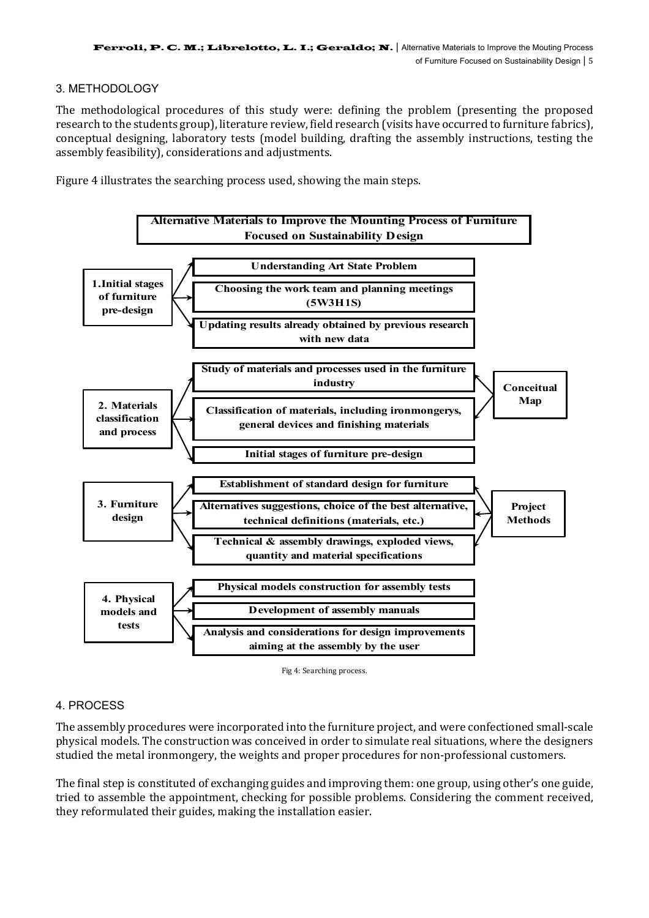## 3. METHODOLOGY

The methodological procedures of this study were: defining the problem (presenting the proposed research to the students group), literature review, field research (visits have occurred to furniture fabrics), conceptual designing, laboratory tests (model building, drafting the assembly instructions, testing the assembly feasibility), considerations and adjustments.

Figure 4 illustrates the searching process used, showing the main steps.



Fig 4: Searching process.

# 4. PROCESS

The assembly procedures were incorporated into the furniture project, and were confectioned small-scale physical models. The construction was conceived in order to simulate real situations, where the designers studied the metal ironmongery, the weights and proper procedures for non-professional customers.

The final step is constituted of exchanging guides and improving them: one group, using other's one guide, tried to assemble the appointment, checking for possible problems. Considering the comment received, they reformulated their guides, making the installation easier.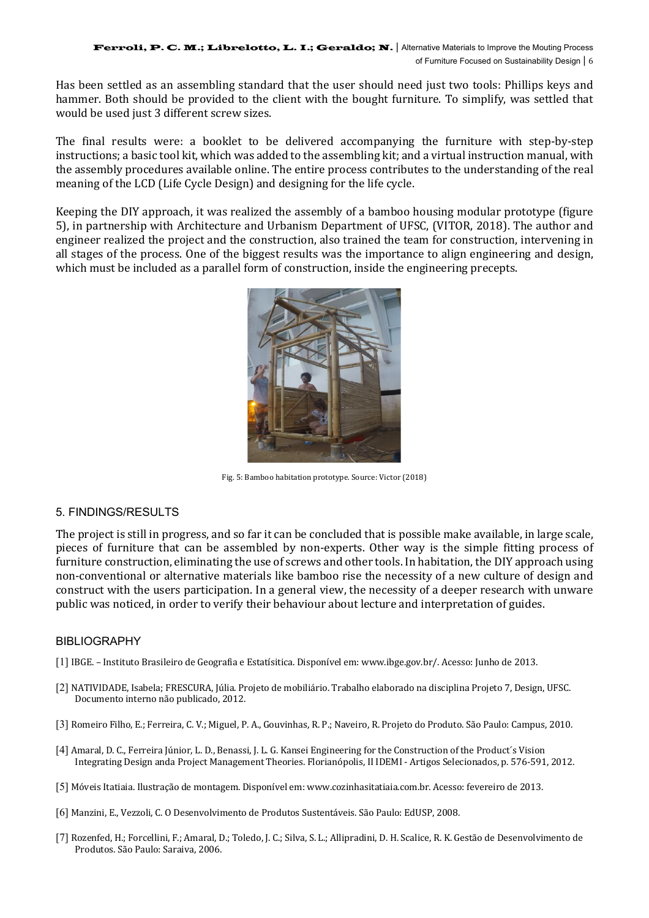Has been settled as an assembling standard that the user should need just two tools: Phillips keys and hammer. Both should be provided to the client with the bought furniture. To simplify, was settled that would be used just 3 different screw sizes.

The final results were: a booklet to be delivered accompanying the furniture with step-by-step instructions; a basic tool kit, which was added to the assembling kit; and a virtual instruction manual, with the assembly procedures available online. The entire process contributes to the understanding of the real meaning of the LCD (Life Cycle Design) and designing for the life cycle.

Keeping the DIY approach, it was realized the assembly of a bamboo housing modular prototype (figure 5), in partnership with Architecture and Urbanism Department of UFSC, (VITOR, 2018). The author and engineer realized the project and the construction, also trained the team for construction, intervening in all stages of the process. One of the biggest results was the importance to align engineering and design, which must be included as a parallel form of construction, inside the engineering precepts.



Fig. 5: Bamboo habitation prototype. Source: Victor (2018)

### 5. FINDINGS/RESULTS

The project is still in progress, and so far it can be concluded that is possible make available, in large scale, pieces of furniture that can be assembled by non-experts. Other way is the simple fitting process of furniture construction, eliminating the use of screws and other tools. In habitation, the DIY approach using non-conventional or alternative materials like bamboo rise the necessity of a new culture of design and construct with the users participation. In a general view, the necessity of a deeper research with unware public was noticed, in order to verify their behaviour about lecture and interpretation of guides.

### BIBLIOGRAPHY

- [1] IBGE. Instituto Brasileiro de Geografia e Estatísitica. Disponível em: www.ibge.gov.br/. Acesso: Junho de 2013.
- [2] NATIVIDADE, Isabela; FRESCURA, Iúlia, Projeto de mobiliário. Trabalho elaborado na disciplina Projeto 7, Design, UFSC. Documento interno não publicado, 2012.
- [3] Romeiro Filho, E.; Ferreira, C. V.; Miguel, P. A., Gouvinhas, R. P.; Naveiro, R. Projeto do Produto. São Paulo: Campus, 2010.
- [4] Amaral, D. C., Ferreira Júnior, L. D., Benassi, J. L. G. Kansei Engineering for the Construction of the Product's Vision Integrating Design anda Project Management Theories. Florianópolis, II IDEMI - Artigos Selecionados, p. 576-591, 2012.
- [5] Móveis Itatiaia. Ilustração de montagem. Disponível em: www.cozinhasitatiaia.com.br. Acesso: fevereiro de 2013.
- [6] Manzini, E., Vezzoli, C. O Desenvolvimento de Produtos Sustentáveis. São Paulo: EdUSP, 2008.
- [7] Rozenfed, H.; Forcellini, F.; Amaral, D.; Toledo, J. C.; Silva, S. L.; Allipradini, D. H. Scalice, R. K. Gestão de Desenvolvimento de Produtos. São Paulo: Saraiva, 2006.